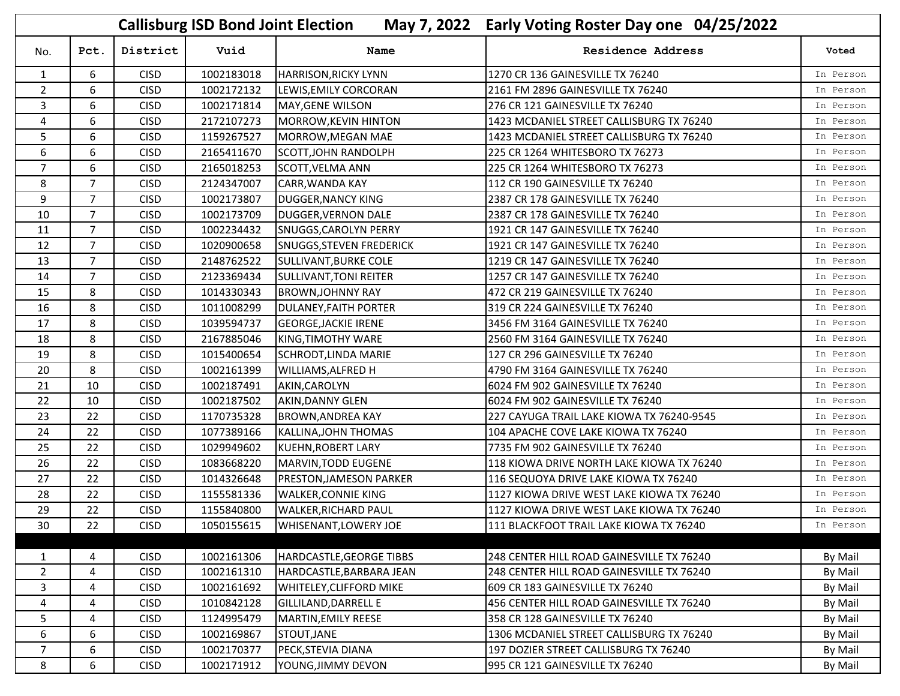|                |                |             | <b>Callisburg ISD Bond Joint Election</b> |                               | May 7, 2022 Early Voting Roster Day one 04/25/2022 |           |
|----------------|----------------|-------------|-------------------------------------------|-------------------------------|----------------------------------------------------|-----------|
| No.            | Pct.           | District    | Vuid                                      | <b>Name</b>                   | <b>Residence Address</b>                           | Voted     |
| $\mathbf{1}$   | 6              | <b>CISD</b> | 1002183018                                | <b>HARRISON, RICKY LYNN</b>   | 1270 CR 136 GAINESVILLE TX 76240                   | In Person |
| $\overline{2}$ | 6              | <b>CISD</b> | 1002172132                                | LEWIS, EMILY CORCORAN         | 2161 FM 2896 GAINESVILLE TX 76240                  | In Person |
| 3              | 6              | <b>CISD</b> | 1002171814                                | MAY, GENE WILSON              | 276 CR 121 GAINESVILLE TX 76240                    | In Person |
| 4              | 6              | <b>CISD</b> | 2172107273                                | MORROW, KEVIN HINTON          | 1423 MCDANIEL STREET CALLISBURG TX 76240           | In Person |
| 5              | 6              | <b>CISD</b> | 1159267527                                | MORROW, MEGAN MAE             | 1423 MCDANIEL STREET CALLISBURG TX 76240           | In Person |
| 6              | 6              | <b>CISD</b> | 2165411670                                | SCOTT, JOHN RANDOLPH          | 225 CR 1264 WHITESBORO TX 76273                    | In Person |
| $\overline{7}$ | 6              | <b>CISD</b> | 2165018253                                | <b>SCOTT, VELMA ANN</b>       | 225 CR 1264 WHITESBORO TX 76273                    | In Person |
| 8              | $\overline{7}$ | <b>CISD</b> | 2124347007                                | <b>CARR, WANDA KAY</b>        | 112 CR 190 GAINESVILLE TX 76240                    | In Person |
| 9              | $\overline{7}$ | <b>CISD</b> | 1002173807                                | <b>DUGGER, NANCY KING</b>     | 2387 CR 178 GAINESVILLE TX 76240                   | In Person |
| 10             | $\overline{7}$ | <b>CISD</b> | 1002173709                                | DUGGER, VERNON DALE           | 2387 CR 178 GAINESVILLE TX 76240                   | In Person |
| 11             | $\overline{7}$ | <b>CISD</b> | 1002234432                                | SNUGGS, CAROLYN PERRY         | 1921 CR 147 GAINESVILLE TX 76240                   | In Person |
| 12             | $\overline{7}$ | <b>CISD</b> | 1020900658                                | SNUGGS, STEVEN FREDERICK      | 1921 CR 147 GAINESVILLE TX 76240                   | In Person |
| 13             | $\overline{7}$ | <b>CISD</b> | 2148762522                                | SULLIVANT, BURKE COLE         | 1219 CR 147 GAINESVILLE TX 76240                   | In Person |
| 14             | $\overline{7}$ | <b>CISD</b> | 2123369434                                | <b>SULLIVANT, TONI REITER</b> | 1257 CR 147 GAINESVILLE TX 76240                   | In Person |
| 15             | 8              | <b>CISD</b> | 1014330343                                | <b>BROWN, JOHNNY RAY</b>      | 472 CR 219 GAINESVILLE TX 76240                    | In Person |
| 16             | 8              | <b>CISD</b> | 1011008299                                | <b>DULANEY, FAITH PORTER</b>  | 319 CR 224 GAINESVILLE TX 76240                    | In Person |
| 17             | 8              | <b>CISD</b> | 1039594737                                | <b>GEORGE, JACKIE IRENE</b>   | 3456 FM 3164 GAINESVILLE TX 76240                  | In Person |
| 18             | 8              | <b>CISD</b> | 2167885046                                | KING, TIMOTHY WARE            | 2560 FM 3164 GAINESVILLE TX 76240                  | In Person |
| 19             | 8              | <b>CISD</b> | 1015400654                                | <b>SCHRODT, LINDA MARIE</b>   | 127 CR 296 GAINESVILLE TX 76240                    | In Person |
| 20             | 8              | <b>CISD</b> | 1002161399                                | WILLIAMS, ALFRED H            | 4790 FM 3164 GAINESVILLE TX 76240                  | In Person |
| 21             | 10             | <b>CISD</b> | 1002187491                                | AKIN, CAROLYN                 | 6024 FM 902 GAINESVILLE TX 76240                   | In Person |
| 22             | 10             | <b>CISD</b> | 1002187502                                | <b>AKIN, DANNY GLEN</b>       | 6024 FM 902 GAINESVILLE TX 76240                   | In Person |
| 23             | 22             | <b>CISD</b> | 1170735328                                | <b>BROWN, ANDREA KAY</b>      | 227 CAYUGA TRAIL LAKE KIOWA TX 76240-9545          | In Person |
| 24             | 22             | <b>CISD</b> | 1077389166                                | KALLINA, JOHN THOMAS          | 104 APACHE COVE LAKE KIOWA TX 76240                | In Person |
| 25             | 22             | <b>CISD</b> | 1029949602                                | <b>KUEHN, ROBERT LARY</b>     | 7735 FM 902 GAINESVILLE TX 76240                   | In Person |
| 26             | 22             | <b>CISD</b> | 1083668220                                | MARVIN, TODD EUGENE           | 118 KIOWA DRIVE NORTH LAKE KIOWA TX 76240          | In Person |
| 27             | 22             | <b>CISD</b> | 1014326648                                | PRESTON, JAMESON PARKER       | 116 SEQUOYA DRIVE LAKE KIOWA TX 76240              | In Person |
| 28             | 22             | <b>CISD</b> | 1155581336                                | <b>WALKER, CONNIE KING</b>    | 1127 KIOWA DRIVE WEST LAKE KIOWA TX 76240          | In Person |
| 29             | 22             | <b>CISD</b> | 1155840800                                | <b>WALKER, RICHARD PAUL</b>   | 1127 KIOWA DRIVE WEST LAKE KIOWA TX 76240          | In Person |
| 30             | 22             | <b>CISD</b> | 1050155615                                | <b>WHISENANT,LOWERY JOE</b>   | 111 BLACKFOOT TRAIL LAKE KIOWA TX 76240            | In Person |
|                |                |             |                                           |                               |                                                    |           |
| 1              | 4              | <b>CISD</b> | 1002161306                                | HARDCASTLE, GEORGE TIBBS      | 248 CENTER HILL ROAD GAINESVILLE TX 76240          | By Mail   |
| $\overline{2}$ | 4              | <b>CISD</b> | 1002161310                                | HARDCASTLE, BARBARA JEAN      | 248 CENTER HILL ROAD GAINESVILLE TX 76240          | By Mail   |
| 3              | 4              | <b>CISD</b> | 1002161692                                | WHITELEY, CLIFFORD MIKE       | 609 CR 183 GAINESVILLE TX 76240                    | By Mail   |
| 4              | 4              | <b>CISD</b> | 1010842128                                | GILLILAND, DARRELL E          | 456 CENTER HILL ROAD GAINESVILLE TX 76240          | By Mail   |
| 5              | 4              | <b>CISD</b> | 1124995479                                | MARTIN, EMILY REESE           | 358 CR 128 GAINESVILLE TX 76240                    | By Mail   |
| 6              | 6              | <b>CISD</b> | 1002169867                                | STOUT, JANE                   | 1306 MCDANIEL STREET CALLISBURG TX 76240           | By Mail   |
| $\overline{7}$ | 6              | <b>CISD</b> | 1002170377                                | PECK, STEVIA DIANA            | 197 DOZIER STREET CALLISBURG TX 76240              | By Mail   |
| 8              | 6              | <b>CISD</b> | 1002171912                                | YOUNG, JIMMY DEVON            | 995 CR 121 GAINESVILLE TX 76240                    | By Mail   |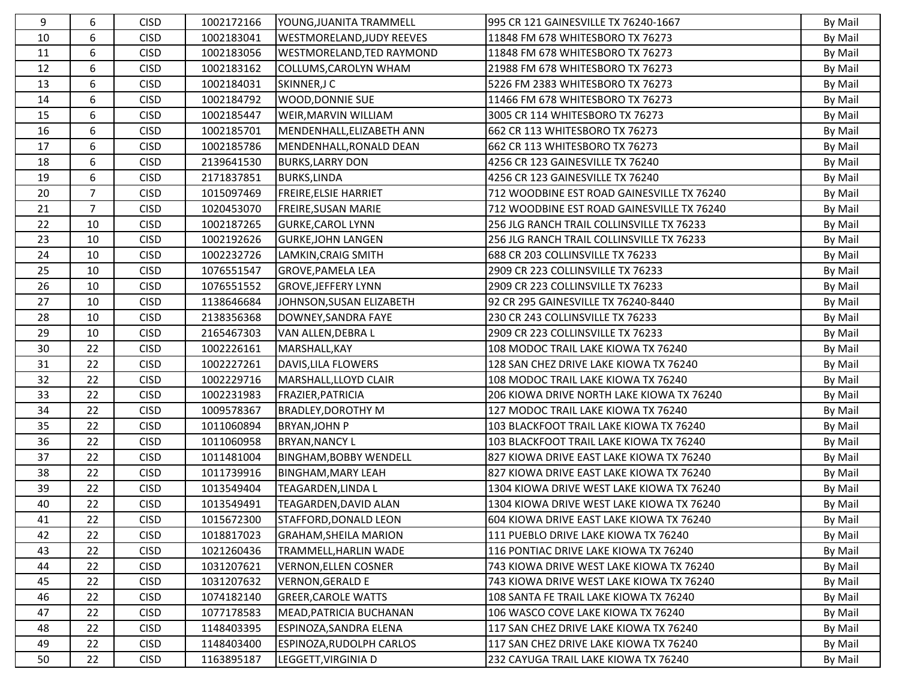| 9  | 6              | <b>CISD</b> | 1002172166 | YOUNG, JUANITA TRAMMELL          | 995 CR 121 GAINESVILLE TX 76240-1667       | By Mail |
|----|----------------|-------------|------------|----------------------------------|--------------------------------------------|---------|
| 10 | 6              | <b>CISD</b> | 1002183041 | <b>WESTMORELAND, JUDY REEVES</b> | 11848 FM 678 WHITESBORO TX 76273           | By Mail |
| 11 | 6              | <b>CISD</b> | 1002183056 | <b>WESTMORELAND, TED RAYMOND</b> | 11848 FM 678 WHITESBORO TX 76273           | By Mail |
| 12 | 6              | <b>CISD</b> | 1002183162 | COLLUMS, CAROLYN WHAM            | 21988 FM 678 WHITESBORO TX 76273           | By Mail |
| 13 | 6              | <b>CISD</b> | 1002184031 | SKINNER, JC                      | 5226 FM 2383 WHITESBORO TX 76273           | By Mail |
| 14 | 6              | <b>CISD</b> | 1002184792 | <b>WOOD, DONNIE SUE</b>          | 11466 FM 678 WHITESBORO TX 76273           | By Mail |
| 15 | 6              | <b>CISD</b> | 1002185447 | <b>WEIR, MARVIN WILLIAM</b>      | 3005 CR 114 WHITESBORO TX 76273            | By Mail |
| 16 | 6              | <b>CISD</b> | 1002185701 | MENDENHALL, ELIZABETH ANN        | 662 CR 113 WHITESBORO TX 76273             | By Mail |
| 17 | 6              | <b>CISD</b> | 1002185786 | MENDENHALL, RONALD DEAN          | 662 CR 113 WHITESBORO TX 76273             | By Mail |
| 18 | 6              | <b>CISD</b> | 2139641530 | <b>BURKS, LARRY DON</b>          | 4256 CR 123 GAINESVILLE TX 76240           | By Mail |
| 19 | 6              | <b>CISD</b> | 2171837851 | <b>BURKS, LINDA</b>              | 4256 CR 123 GAINESVILLE TX 76240           | By Mail |
| 20 | $\overline{7}$ | <b>CISD</b> | 1015097469 | <b>FREIRE, ELSIE HARRIET</b>     | 712 WOODBINE EST ROAD GAINESVILLE TX 76240 | By Mail |
| 21 | $\overline{7}$ | <b>CISD</b> | 1020453070 | FREIRE, SUSAN MARIE              | 712 WOODBINE EST ROAD GAINESVILLE TX 76240 | By Mail |
| 22 | 10             | <b>CISD</b> | 1002187265 | <b>GURKE, CAROL LYNN</b>         | 256 JLG RANCH TRAIL COLLINSVILLE TX 76233  | By Mail |
| 23 | 10             | <b>CISD</b> | 1002192626 | <b>GURKE, JOHN LANGEN</b>        | 256 JLG RANCH TRAIL COLLINSVILLE TX 76233  | By Mail |
| 24 | 10             | <b>CISD</b> | 1002232726 | LAMKIN, CRAIG SMITH              | 688 CR 203 COLLINSVILLE TX 76233           | By Mail |
| 25 | 10             | <b>CISD</b> | 1076551547 | <b>GROVE, PAMELA LEA</b>         | 2909 CR 223 COLLINSVILLE TX 76233          | By Mail |
| 26 | 10             | <b>CISD</b> | 1076551552 | <b>GROVE, JEFFERY LYNN</b>       | 2909 CR 223 COLLINSVILLE TX 76233          | By Mail |
| 27 | 10             | <b>CISD</b> | 1138646684 | JOHNSON, SUSAN ELIZABETH         | 92 CR 295 GAINESVILLE TX 76240-8440        | By Mail |
| 28 | 10             | <b>CISD</b> | 2138356368 | DOWNEY, SANDRA FAYE              | 230 CR 243 COLLINSVILLE TX 76233           | By Mail |
| 29 | 10             | <b>CISD</b> | 2165467303 | VAN ALLEN, DEBRA L               | 2909 CR 223 COLLINSVILLE TX 76233          | By Mail |
| 30 | 22             | <b>CISD</b> | 1002226161 | MARSHALL, KAY                    | 108 MODOC TRAIL LAKE KIOWA TX 76240        | By Mail |
| 31 | 22             | <b>CISD</b> | 1002227261 | DAVIS, LILA FLOWERS              | 128 SAN CHEZ DRIVE LAKE KIOWA TX 76240     | By Mail |
| 32 | 22             | <b>CISD</b> | 1002229716 | MARSHALL, LLOYD CLAIR            | 108 MODOC TRAIL LAKE KIOWA TX 76240        | By Mail |
| 33 | 22             | <b>CISD</b> | 1002231983 | FRAZIER, PATRICIA                | 206 KIOWA DRIVE NORTH LAKE KIOWA TX 76240  | By Mail |
| 34 | 22             | <b>CISD</b> | 1009578367 | <b>BRADLEY, DOROTHY M</b>        | 127 MODOC TRAIL LAKE KIOWA TX 76240        | By Mail |
| 35 | 22             | <b>CISD</b> | 1011060894 | <b>BRYAN, JOHN P</b>             | 103 BLACKFOOT TRAIL LAKE KIOWA TX 76240    | By Mail |
| 36 | 22             | <b>CISD</b> | 1011060958 | <b>BRYAN, NANCY L</b>            | 103 BLACKFOOT TRAIL LAKE KIOWA TX 76240    | By Mail |
| 37 | 22             | <b>CISD</b> | 1011481004 | <b>BINGHAM, BOBBY WENDELL</b>    | 827 KIOWA DRIVE EAST LAKE KIOWA TX 76240   | By Mail |
| 38 | 22             | <b>CISD</b> | 1011739916 | <b>BINGHAM, MARY LEAH</b>        | 827 KIOWA DRIVE EAST LAKE KIOWA TX 76240   | By Mail |
| 39 | 22             | <b>CISD</b> | 1013549404 | <b>TEAGARDEN, LINDA L</b>        | 1304 KIOWA DRIVE WEST LAKE KIOWA TX 76240  | By Mail |
| 40 | 22             | <b>CISD</b> | 1013549491 | TEAGARDEN, DAVID ALAN            | 1304 KIOWA DRIVE WEST LAKE KIOWA TX 76240  | By Mail |
| 41 | 22             | <b>CISD</b> | 1015672300 | STAFFORD, DONALD LEON            | 604 KIOWA DRIVE EAST LAKE KIOWA TX 76240   | By Mail |
| 42 | 22             | <b>CISD</b> | 1018817023 | <b>GRAHAM, SHEILA MARION</b>     | 111 PUEBLO DRIVE LAKE KIOWA TX 76240       | By Mail |
| 43 | 22             | <b>CISD</b> | 1021260436 | TRAMMELL, HARLIN WADE            | 116 PONTIAC DRIVE LAKE KIOWA TX 76240      | By Mail |
| 44 | 22             | <b>CISD</b> | 1031207621 | <b>VERNON, ELLEN COSNER</b>      | 743 KIOWA DRIVE WEST LAKE KIOWA TX 76240   | By Mail |
| 45 | 22             | <b>CISD</b> | 1031207632 | <b>VERNON, GERALD E</b>          | 743 KIOWA DRIVE WEST LAKE KIOWA TX 76240   | By Mail |
| 46 | 22             | <b>CISD</b> | 1074182140 | <b>GREER, CAROLE WATTS</b>       | 108 SANTA FE TRAIL LAKE KIOWA TX 76240     | By Mail |
| 47 | 22             | <b>CISD</b> | 1077178583 | MEAD, PATRICIA BUCHANAN          | 106 WASCO COVE LAKE KIOWA TX 76240         | By Mail |
| 48 | 22             | <b>CISD</b> | 1148403395 | ESPINOZA, SANDRA ELENA           | 117 SAN CHEZ DRIVE LAKE KIOWA TX 76240     | By Mail |
| 49 | 22             | <b>CISD</b> | 1148403400 | <b>ESPINOZA, RUDOLPH CARLOS</b>  | 117 SAN CHEZ DRIVE LAKE KIOWA TX 76240     | By Mail |
| 50 | 22             | <b>CISD</b> | 1163895187 | LEGGETT, VIRGINIA D              | 232 CAYUGA TRAIL LAKE KIOWA TX 76240       | By Mail |